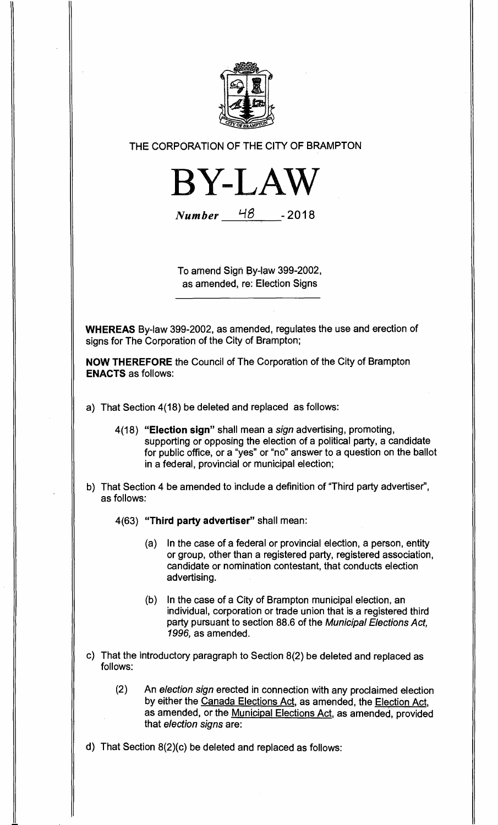

THE CORPORATION OF THE CITY OF BRAMPTON

**BY-LAW** 

**Number** 48 - 2018

To amend Sign By-law 399-2002, as amended, re: Election Signs

**WHEREAS** By-law 399-2002, as amended, regulates the use and erection of signs for The Corporation of the City of Brampton;

**NOW THEREFORE** the Council of The Corporation of the City of Brampton **ENACTS** as follows:

- a) That Section 4(18) be deleted and replaced as follows:
	- 4(18) **"Election sign"** shall mean a sign advertising, promoting, supporting or opposing the election of a political party, a candidate for public office, or a "yes" or "no" answer to a question on the ballot in a federal, provincial or municipal election;
- b) That Section 4 be amended to include a definition of "Third party advertiser", as follows:

4(63) **"Third party advertiser"** shall mean:

- (a) In the case of a federal or provincial election, a person, entity or group, other than a registered party, registered association, candidate or nomination contestant, that conducts election advertising.
- (b) In the case of a City of Brampton municipal election, an individual, corporation or trade union that is a registered third party pursuant to section 88.6 of the Municipal Elections Act, 1996, as amended.
- c) That the introductory paragraph to Section 8(2) be deleted and replaced as follows:
	- (2) An election sign erected in connection with any proclaimed election by either the Canada Elections Act, as amended, the Election Act, as amended, or the Municipal Elections Act, as amended, provided that election signs are:

d) That Section 8(2)(c) be deleted and replaced as follows: